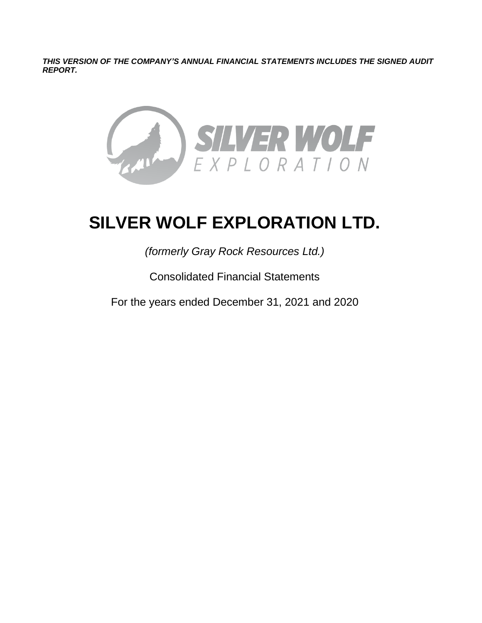*THIS VERSION OF THE COMPANY'S ANNUAL FINANCIAL STATEMENTS INCLUDES THE SIGNED AUDIT REPORT.*



# **SILVER WOLF EXPLORATION LTD.**

*(formerly Gray Rock Resources Ltd.)*

Consolidated Financial Statements

For the years ended December 31, 2021 and 2020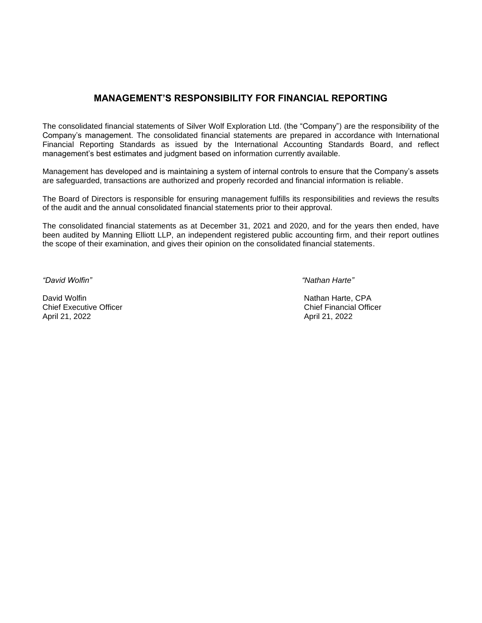# **MANAGEMENT'S RESPONSIBILITY FOR FINANCIAL REPORTING**

The consolidated financial statements of Silver Wolf Exploration Ltd. (the "Company") are the responsibility of the Company's management. The consolidated financial statements are prepared in accordance with International Financial Reporting Standards as issued by the International Accounting Standards Board, and reflect management's best estimates and judgment based on information currently available.

Management has developed and is maintaining a system of internal controls to ensure that the Company's assets are safeguarded, transactions are authorized and properly recorded and financial information is reliable.

The Board of Directors is responsible for ensuring management fulfills its responsibilities and reviews the results of the audit and the annual consolidated financial statements prior to their approval.

The consolidated financial statements as at December 31, 2021 and 2020, and for the years then ended, have been audited by Manning Elliott LLP, an independent registered public accounting firm, and their report outlines the scope of their examination, and gives their opinion on the consolidated financial statements.

*"David Wolfin" "Nathan Harte"*

David Wolfin Nathan Harte, CPA Chief Executive Officer<br>
April 21, 2022<br>
April 21, 2022 April 21, 2022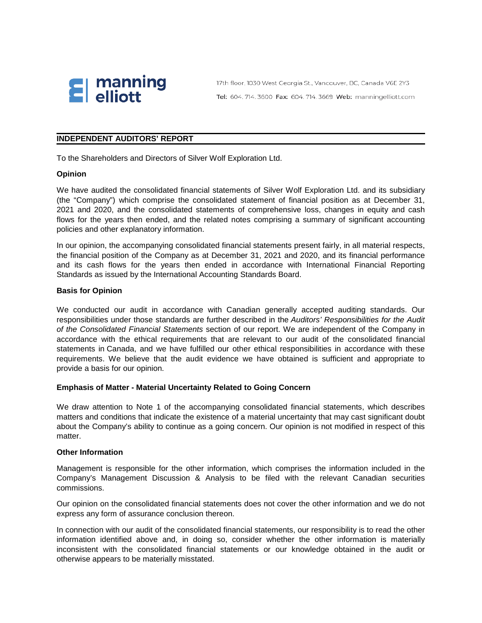

17th floor, 1030 West Georgia St., Vancouver, BC, Canada V6E 2Y3 Tel: 604.714.3600 Fax: 604.714.3669 Web: manningelliott.com

# **INDEPENDENT AUDITORS' REPORT**

To the Shareholders and Directors of Silver Wolf Exploration Ltd.

# **Opinion**

We have audited the consolidated financial statements of Silver Wolf Exploration Ltd. and its subsidiary (the "Company") which comprise the consolidated statement of financial position as at December 31, 2021 and 2020, and the consolidated statements of comprehensive loss, changes in equity and cash flows for the years then ended, and the related notes comprising a summary of significant accounting policies and other explanatory information.

In our opinion, the accompanying consolidated financial statements present fairly, in all material respects, the financial position of the Company as at December 31, 2021 and 2020, and its financial performance and its cash flows for the years then ended in accordance with International Financial Reporting Standards as issued by the International Accounting Standards Board.

#### **Basis for Opinion**

We conducted our audit in accordance with Canadian generally accepted auditing standards. Our responsibilities under those standards are further described in the *Auditors' Responsibilities for the Audit of the Consolidated Financial Statements* section of our report. We are independent of the Company in accordance with the ethical requirements that are relevant to our audit of the consolidated financial statements in Canada, and we have fulfilled our other ethical responsibilities in accordance with these requirements. We believe that the audit evidence we have obtained is sufficient and appropriate to provide a basis for our opinion.

# **Emphasis of Matter - Material Uncertainty Related to Going Concern**

We draw attention to Note 1 of the accompanying consolidated financial statements, which describes matters and conditions that indicate the existence of a material uncertainty that may cast significant doubt about the Company's ability to continue as a going concern. Our opinion is not modified in respect of this matter.

# **Other Information**

Management is responsible for the other information, which comprises the information included in the Company's Management Discussion & Analysis to be filed with the relevant Canadian securities commissions.

Our opinion on the consolidated financial statements does not cover the other information and we do not express any form of assurance conclusion thereon.

In connection with our audit of the consolidated financial statements, our responsibility is to read the other information identified above and, in doing so, consider whether the other information is materially inconsistent with the consolidated financial statements or our knowledge obtained in the audit or otherwise appears to be materially misstated.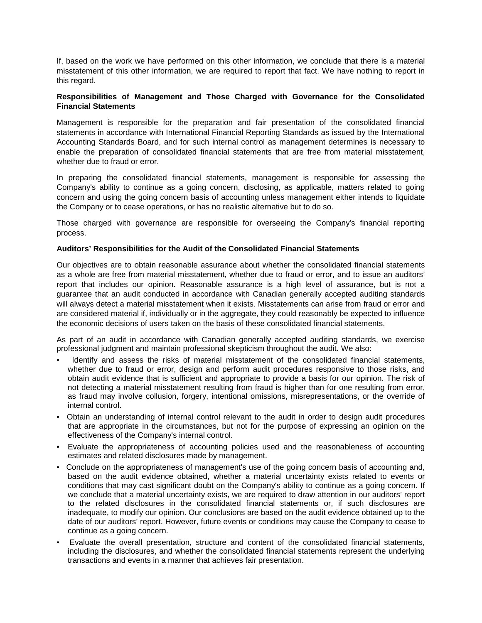If, based on the work we have performed on this other information, we conclude that there is a material misstatement of this other information, we are required to report that fact. We have nothing to report in this regard.

# **Responsibilities of Management and Those Charged with Governance for the Consolidated Financial Statements**

Management is responsible for the preparation and fair presentation of the consolidated financial statements in accordance with International Financial Reporting Standards as issued by the International Accounting Standards Board, and for such internal control as management determines is necessary to enable the preparation of consolidated financial statements that are free from material misstatement, whether due to fraud or error.

In preparing the consolidated financial statements, management is responsible for assessing the Company's ability to continue as a going concern, disclosing, as applicable, matters related to going concern and using the going concern basis of accounting unless management either intends to liquidate the Company or to cease operations, or has no realistic alternative but to do so.

Those charged with governance are responsible for overseeing the Company's financial reporting process.

# **Auditors' Responsibilities for the Audit of the Consolidated Financial Statements**

Our objectives are to obtain reasonable assurance about whether the consolidated financial statements as a whole are free from material misstatement, whether due to fraud or error, and to issue an auditors' report that includes our opinion. Reasonable assurance is a high level of assurance, but is not a guarantee that an audit conducted in accordance with Canadian generally accepted auditing standards will always detect a material misstatement when it exists. Misstatements can arise from fraud or error and are considered material if, individually or in the aggregate, they could reasonably be expected to influence the economic decisions of users taken on the basis of these consolidated financial statements.

As part of an audit in accordance with Canadian generally accepted auditing standards, we exercise professional judgment and maintain professional skepticism throughout the audit. We also:

- Identify and assess the risks of material misstatement of the consolidated financial statements, whether due to fraud or error, design and perform audit procedures responsive to those risks, and obtain audit evidence that is sufficient and appropriate to provide a basis for our opinion. The risk of not detecting a material misstatement resulting from fraud is higher than for one resulting from error, as fraud may involve collusion, forgery, intentional omissions, misrepresentations, or the override of internal control.
- Obtain an understanding of internal control relevant to the audit in order to design audit procedures that are appropriate in the circumstances, but not for the purpose of expressing an opinion on the effectiveness of the Company's internal control.
- Evaluate the appropriateness of accounting policies used and the reasonableness of accounting estimates and related disclosures made by management.
- Conclude on the appropriateness of management's use of the going concern basis of accounting and, based on the audit evidence obtained, whether a material uncertainty exists related to events or conditions that may cast significant doubt on the Company's ability to continue as a going concern. If we conclude that a material uncertainty exists, we are required to draw attention in our auditors' report to the related disclosures in the consolidated financial statements or, if such disclosures are inadequate, to modify our opinion. Our conclusions are based on the audit evidence obtained up to the date of our auditors' report. However, future events or conditions may cause the Company to cease to continue as a going concern.
- Evaluate the overall presentation, structure and content of the consolidated financial statements, including the disclosures, and whether the consolidated financial statements represent the underlying transactions and events in a manner that achieves fair presentation.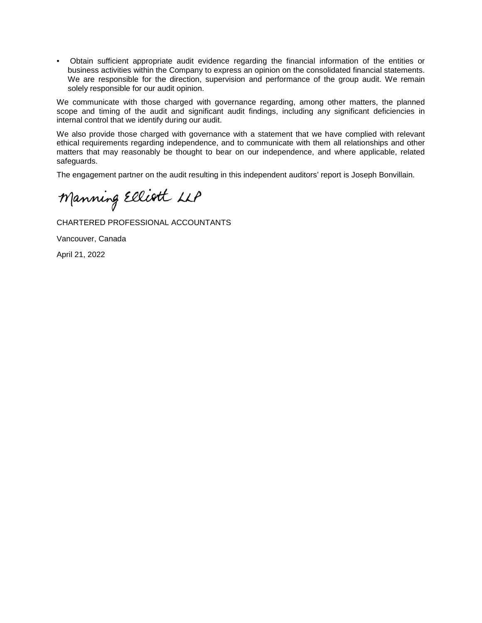• Obtain sufficient appropriate audit evidence regarding the financial information of the entities or business activities within the Company to express an opinion on the consolidated financial statements. We are responsible for the direction, supervision and performance of the group audit. We remain solely responsible for our audit opinion.

We communicate with those charged with governance regarding, among other matters, the planned scope and timing of the audit and significant audit findings, including any significant deficiencies in internal control that we identify during our audit.

We also provide those charged with governance with a statement that we have complied with relevant ethical requirements regarding independence, and to communicate with them all relationships and other matters that may reasonably be thought to bear on our independence, and where applicable, related safeguards.

The engagement partner on the audit resulting in this independent auditors' report is Joseph Bonvillain.

Manning Elliott LLP

CHARTERED PROFESSIONAL ACCOUNTANTS

Vancouver, Canada

April 21, 2022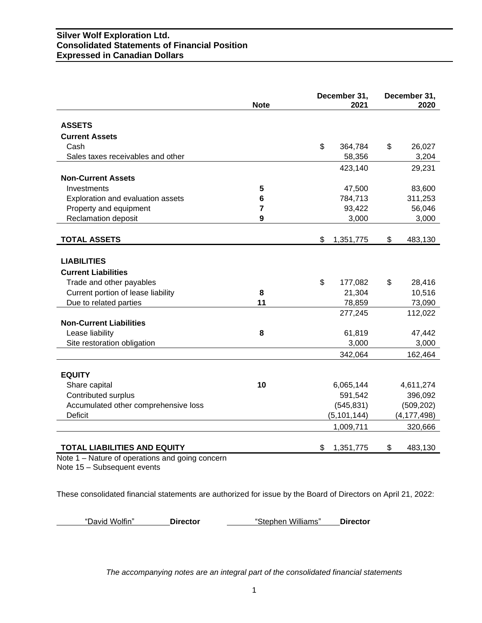# **Silver Wolf Exploration Ltd. Consolidated Statements of Financial Position Expressed in Canadian Dollars**

|                                                 | <b>Note</b>    | December 31,<br>2021 |               | December 31,<br>2020 |               |
|-------------------------------------------------|----------------|----------------------|---------------|----------------------|---------------|
| <b>ASSETS</b>                                   |                |                      |               |                      |               |
| <b>Current Assets</b>                           |                |                      |               |                      |               |
| Cash                                            |                | \$                   | 364,784       | \$                   | 26,027        |
| Sales taxes receivables and other               |                |                      | 58,356        |                      | 3,204         |
|                                                 |                |                      | 423,140       |                      | 29,231        |
| <b>Non-Current Assets</b>                       |                |                      |               |                      |               |
| Investments                                     | 5              |                      | 47,500        |                      | 83,600        |
| Exploration and evaluation assets               | $6\phantom{1}$ |                      | 784,713       |                      | 311,253       |
| Property and equipment                          | $\overline{7}$ |                      | 93,422        |                      | 56,046        |
| <b>Reclamation deposit</b>                      | 9              |                      | 3,000         |                      | 3,000         |
|                                                 |                |                      |               |                      |               |
| <b>TOTAL ASSETS</b>                             |                | \$                   | 1,351,775     | \$                   | 483,130       |
|                                                 |                |                      |               |                      |               |
| <b>LIABILITIES</b>                              |                |                      |               |                      |               |
| <b>Current Liabilities</b>                      |                |                      |               |                      |               |
| Trade and other payables                        |                | \$                   | 177,082       | \$                   | 28,416        |
| Current portion of lease liability              | 8              |                      | 21,304        |                      | 10,516        |
| Due to related parties                          | 11             |                      | 78,859        |                      | 73,090        |
|                                                 |                |                      | 277,245       |                      | 112,022       |
| <b>Non-Current Liabilities</b>                  |                |                      |               |                      |               |
| Lease liability                                 | 8              |                      | 61,819        |                      | 47,442        |
| Site restoration obligation                     |                |                      | 3,000         |                      | 3,000         |
|                                                 |                |                      | 342,064       |                      | 162,464       |
|                                                 |                |                      |               |                      |               |
| <b>EQUITY</b>                                   |                |                      |               |                      |               |
| Share capital                                   | 10             |                      | 6,065,144     |                      | 4,611,274     |
| Contributed surplus                             |                |                      | 591,542       |                      | 396,092       |
| Accumulated other comprehensive loss            |                |                      | (545, 831)    |                      | (509, 202)    |
| <b>Deficit</b>                                  |                |                      | (5, 101, 144) |                      | (4, 177, 498) |
|                                                 |                |                      | 1,009,711     |                      | 320,666       |
|                                                 |                |                      |               |                      |               |
| <b>TOTAL LIABILITIES AND EQUITY</b>             |                | \$                   | 1,351,775     | \$                   | 483,130       |
| Note 1 - Nature of operations and going concern |                |                      |               |                      |               |

Note 15 – Subsequent events

These consolidated financial statements are authorized for issue by the Board of Directors on April 21, 2022:

"David Wolfin" **Director** "Stephen Williams" **Director**

*The accompanying notes are an integral part of the consolidated financial statements*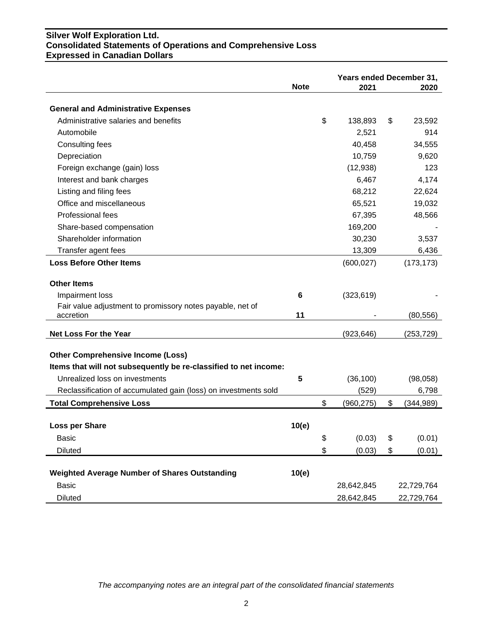# **Silver Wolf Exploration Ltd. Consolidated Statements of Operations and Comprehensive Loss Expressed in Canadian Dollars**

|                                                                  |             | Years ended December 31, |            |                  |
|------------------------------------------------------------------|-------------|--------------------------|------------|------------------|
|                                                                  | <b>Note</b> |                          | 2021       | 2020             |
| <b>General and Administrative Expenses</b>                       |             |                          |            |                  |
| Administrative salaries and benefits                             |             | \$                       | 138,893    | \$<br>23,592     |
| Automobile                                                       |             |                          | 2,521      | 914              |
| Consulting fees                                                  |             |                          | 40,458     | 34,555           |
| Depreciation                                                     |             |                          | 10,759     | 9,620            |
| Foreign exchange (gain) loss                                     |             |                          | (12, 938)  | 123              |
| Interest and bank charges                                        |             |                          | 6,467      | 4,174            |
| Listing and filing fees                                          |             |                          | 68,212     | 22,624           |
| Office and miscellaneous                                         |             |                          | 65,521     | 19,032           |
| Professional fees                                                |             |                          | 67,395     | 48,566           |
| Share-based compensation                                         |             |                          | 169,200    |                  |
| Shareholder information                                          |             |                          | 30,230     | 3,537            |
| Transfer agent fees                                              |             |                          | 13,309     | 6,436            |
| <b>Loss Before Other Items</b>                                   |             |                          | (600, 027) | (173, 173)       |
|                                                                  |             |                          |            |                  |
| <b>Other Items</b>                                               |             |                          |            |                  |
| Impairment loss                                                  | 6           |                          | (323, 619) |                  |
| Fair value adjustment to promissory notes payable, net of        |             |                          |            |                  |
| accretion                                                        | 11          |                          |            | (80, 556)        |
| Net Loss For the Year                                            |             |                          | (923, 646) | (253, 729)       |
|                                                                  |             |                          |            |                  |
| <b>Other Comprehensive Income (Loss)</b>                         |             |                          |            |                  |
| Items that will not subsequently be re-classified to net income: |             |                          |            |                  |
| Unrealized loss on investments                                   | 5           |                          | (36, 100)  | (98,058)         |
| Reclassification of accumulated gain (loss) on investments sold  |             |                          | (529)      | 6,798            |
| <b>Total Comprehensive Loss</b>                                  |             | \$                       | (960, 275) | \$<br>(344, 989) |
| <b>Loss per Share</b>                                            | 10(e)       |                          |            |                  |
| <b>Basic</b>                                                     |             | \$                       | (0.03)     | \$<br>(0.01)     |
| <b>Diluted</b>                                                   |             | \$                       | (0.03)     | \$<br>(0.01)     |
|                                                                  |             |                          |            |                  |
| <b>Weighted Average Number of Shares Outstanding</b>             | 10(e)       |                          |            |                  |
| <b>Basic</b>                                                     |             |                          | 28,642,845 | 22,729,764       |
| <b>Diluted</b>                                                   |             |                          | 28,642,845 | 22,729,764       |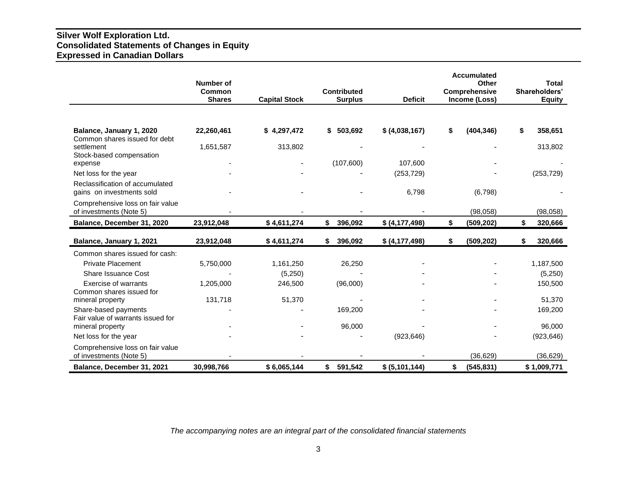# **Silver Wolf Exploration Ltd. Consolidated Statements of Changes in Equity Expressed in Canadian Dollars**

|                                                                         | Number of<br><b>Common</b><br><b>Shares</b> | <b>Capital Stock</b>   | <b>Contributed</b><br><b>Surplus</b> | <b>Deficit</b> | <b>Accumulated</b><br>Other<br><b>Comprehensive</b><br>Income (Loss) | <b>Total</b><br>Shareholders'<br><b>Equity</b> |
|-------------------------------------------------------------------------|---------------------------------------------|------------------------|--------------------------------------|----------------|----------------------------------------------------------------------|------------------------------------------------|
| Balance, January 1, 2020<br>Common shares issued for debt<br>settlement | 22,260,461<br>1,651,587                     | \$4,297,472<br>313,802 | \$503,692                            | \$ (4,038,167) | \$<br>(404, 346)                                                     | \$<br>358,651<br>313,802                       |
| Stock-based compensation<br>expense                                     |                                             |                        | (107,600)                            | 107,600        |                                                                      |                                                |
| Net loss for the year                                                   |                                             |                        |                                      | (253, 729)     |                                                                      | (253, 729)                                     |
| Reclassification of accumulated<br>gains on investments sold            |                                             |                        |                                      | 6,798          | (6,798)                                                              |                                                |
| Comprehensive loss on fair value<br>of investments (Note 5)             |                                             |                        |                                      |                | (98,058)                                                             | (98,058)                                       |
| Balance, December 31, 2020                                              | 23,912,048                                  | \$4,611,274            | \$<br>396,092                        | \$ (4,177,498) | \$<br>(509, 202)                                                     | \$<br>320,666                                  |
| Balance, January 1, 2021                                                | 23,912,048                                  | \$4,611,274            | \$<br>396,092                        | \$ (4,177,498) | \$<br>(509, 202)                                                     | \$<br>320,666                                  |
| Common shares issued for cash:                                          |                                             |                        |                                      |                |                                                                      |                                                |
| <b>Private Placement</b>                                                | 5,750,000                                   | 1,161,250              | 26,250                               |                |                                                                      | 1,187,500                                      |
| Share Issuance Cost                                                     |                                             | (5,250)                |                                      |                |                                                                      | (5,250)                                        |
| Exercise of warrants<br>Common shares issued for                        | 1,205,000                                   | 246,500                | (96,000)                             |                |                                                                      | 150,500                                        |
| mineral property                                                        | 131,718                                     | 51,370                 |                                      |                |                                                                      | 51,370                                         |
| Share-based payments<br>Fair value of warrants issued for               |                                             |                        | 169,200                              |                |                                                                      | 169,200                                        |
| mineral property                                                        |                                             |                        | 96,000                               |                |                                                                      | 96,000                                         |
| Net loss for the year                                                   |                                             |                        |                                      | (923, 646)     |                                                                      | (923, 646)                                     |
| Comprehensive loss on fair value<br>of investments (Note 5)             |                                             |                        |                                      |                | (36, 629)                                                            | (36, 629)                                      |
| Balance, December 31, 2021                                              | 30,998,766                                  | \$6,065,144            | \$<br>591,542                        | \$ (5,101,144) | \$<br>(545, 831)                                                     | \$1,009,771                                    |

*The accompanying notes are an integral part of the consolidated financial statements*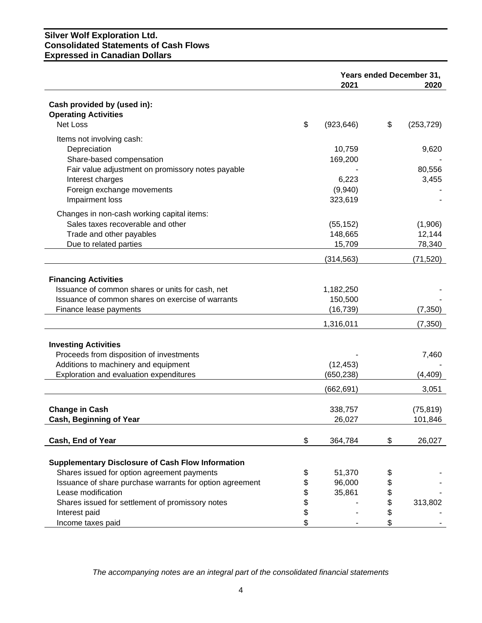# **Silver Wolf Exploration Ltd. Consolidated Statements of Cash Flows Expressed in Canadian Dollars**

|                                                          | <b>Years ended December 31,</b> |    |            |
|----------------------------------------------------------|---------------------------------|----|------------|
|                                                          | 2021                            |    | 2020       |
| Cash provided by (used in):                              |                                 |    |            |
| <b>Operating Activities</b>                              |                                 |    |            |
| Net Loss                                                 |                                 | \$ |            |
|                                                          | \$<br>(923, 646)                |    | (253, 729) |
| Items not involving cash:                                |                                 |    |            |
| Depreciation                                             | 10,759                          |    | 9,620      |
| Share-based compensation                                 | 169,200                         |    |            |
| Fair value adjustment on promissory notes payable        |                                 |    | 80,556     |
| Interest charges                                         | 6,223                           |    | 3,455      |
| Foreign exchange movements                               | (9,940)                         |    |            |
| Impairment loss                                          | 323,619                         |    |            |
| Changes in non-cash working capital items:               |                                 |    |            |
| Sales taxes recoverable and other                        | (55, 152)                       |    | (1,906)    |
| Trade and other payables                                 | 148,665                         |    | 12,144     |
| Due to related parties                                   | 15,709                          |    | 78,340     |
|                                                          |                                 |    |            |
|                                                          | (314, 563)                      |    | (71, 520)  |
|                                                          |                                 |    |            |
| <b>Financing Activities</b>                              |                                 |    |            |
| Issuance of common shares or units for cash, net         | 1,182,250                       |    |            |
| Issuance of common shares on exercise of warrants        | 150,500                         |    |            |
| Finance lease payments                                   | (16, 739)                       |    | (7, 350)   |
|                                                          | 1,316,011                       |    | (7, 350)   |
|                                                          |                                 |    |            |
| <b>Investing Activities</b>                              |                                 |    |            |
| Proceeds from disposition of investments                 |                                 |    | 7,460      |
| Additions to machinery and equipment                     | (12, 453)                       |    |            |
| Exploration and evaluation expenditures                  | (650, 238)                      |    | (4,409)    |
|                                                          | (662, 691)                      |    | 3,051      |
|                                                          |                                 |    |            |
| <b>Change in Cash</b>                                    | 338,757                         |    | (75, 819)  |
| Cash, Beginning of Year                                  | 26,027                          |    | 101,846    |
| Cash, End of Year                                        | \$<br>364,784                   | \$ | 26,027     |
|                                                          |                                 |    |            |
| <b>Supplementary Disclosure of Cash Flow Information</b> |                                 |    |            |
| Shares issued for option agreement payments              | \$<br>51,370                    | \$ |            |
| Issuance of share purchase warrants for option agreement | \$<br>96,000                    |    |            |
| Lease modification                                       | \$<br>35,861                    | \$ |            |
| Shares issued for settlement of promissory notes         | \$                              | \$ | 313,802    |
| Interest paid                                            | \$                              | \$ |            |
| Income taxes paid                                        | \$                              | \$ |            |

*The accompanying notes are an integral part of the consolidated financial statements*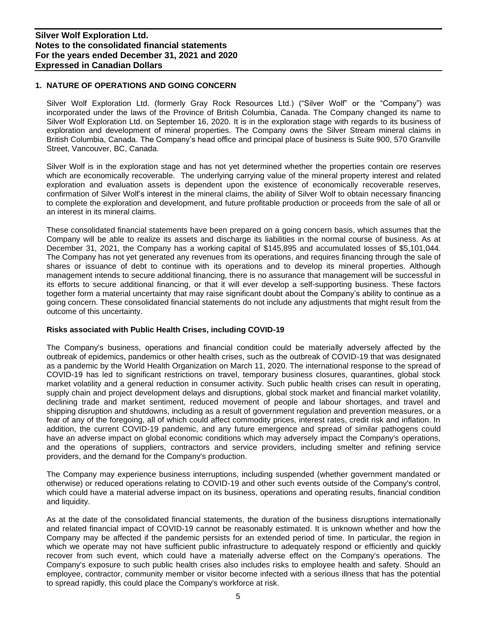# **1. NATURE OF OPERATIONS AND GOING CONCERN**

Silver Wolf Exploration Ltd. (formerly Gray Rock Resources Ltd.) ("Silver Wolf" or the "Company") was incorporated under the laws of the Province of British Columbia, Canada. The Company changed its name to Silver Wolf Exploration Ltd. on September 16, 2020. It is in the exploration stage with regards to its business of exploration and development of mineral properties. The Company owns the Silver Stream mineral claims in British Columbia, Canada. The Company's head office and principal place of business is Suite 900, 570 Granville Street, Vancouver, BC, Canada.

Silver Wolf is in the exploration stage and has not yet determined whether the properties contain ore reserves which are economically recoverable. The underlying carrying value of the mineral property interest and related exploration and evaluation assets is dependent upon the existence of economically recoverable reserves, confirmation of Silver Wolf's interest in the mineral claims, the ability of Silver Wolf to obtain necessary financing to complete the exploration and development, and future profitable production or proceeds from the sale of all or an interest in its mineral claims.

These consolidated financial statements have been prepared on a going concern basis, which assumes that the Company will be able to realize its assets and discharge its liabilities in the normal course of business. As at December 31, 2021, the Company has a working capital of \$145,895 and accumulated losses of \$5,101,044. The Company has not yet generated any revenues from its operations, and requires financing through the sale of shares or issuance of debt to continue with its operations and to develop its mineral properties. Although management intends to secure additional financing, there is no assurance that management will be successful in its efforts to secure additional financing, or that it will ever develop a self-supporting business. These factors together form a material uncertainty that may raise significant doubt about the Company's ability to continue as a going concern. These consolidated financial statements do not include any adjustments that might result from the outcome of this uncertainty.

# **Risks associated with Public Health Crises, including COVID-19**

The Company's business, operations and financial condition could be materially adversely affected by the outbreak of epidemics, pandemics or other health crises, such as the outbreak of COVID-19 that was designated as a pandemic by the World Health Organization on March 11, 2020. The international response to the spread of COVID-19 has led to significant restrictions on travel, temporary business closures, quarantines, global stock market volatility and a general reduction in consumer activity. Such public health crises can result in operating, supply chain and project development delays and disruptions, global stock market and financial market volatility, declining trade and market sentiment, reduced movement of people and labour shortages, and travel and shipping disruption and shutdowns, including as a result of government regulation and prevention measures, or a fear of any of the foregoing, all of which could affect commodity prices, interest rates, credit risk and inflation. In addition, the current COVID-19 pandemic, and any future emergence and spread of similar pathogens could have an adverse impact on global economic conditions which may adversely impact the Company's operations, and the operations of suppliers, contractors and service providers, including smelter and refining service providers, and the demand for the Company's production.

The Company may experience business interruptions, including suspended (whether government mandated or otherwise) or reduced operations relating to COVID-19 and other such events outside of the Company's control, which could have a material adverse impact on its business, operations and operating results, financial condition and liquidity.

As at the date of the consolidated financial statements, the duration of the business disruptions internationally and related financial impact of COVID-19 cannot be reasonably estimated. It is unknown whether and how the Company may be affected if the pandemic persists for an extended period of time. In particular, the region in which we operate may not have sufficient public infrastructure to adequately respond or efficiently and quickly recover from such event, which could have a materially adverse effect on the Company's operations. The Company's exposure to such public health crises also includes risks to employee health and safety. Should an employee, contractor, community member or visitor become infected with a serious illness that has the potential to spread rapidly, this could place the Company's workforce at risk.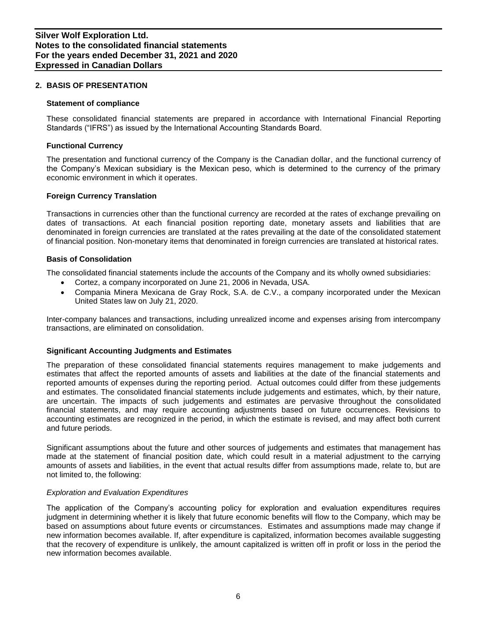# **2. BASIS OF PRESENTATION**

#### **Statement of compliance**

These consolidated financial statements are prepared in accordance with International Financial Reporting Standards ("IFRS") as issued by the International Accounting Standards Board.

#### **Functional Currency**

The presentation and functional currency of the Company is the Canadian dollar, and the functional currency of the Company's Mexican subsidiary is the Mexican peso, which is determined to the currency of the primary economic environment in which it operates.

# **Foreign Currency Translation**

Transactions in currencies other than the functional currency are recorded at the rates of exchange prevailing on dates of transactions. At each financial position reporting date, monetary assets and liabilities that are denominated in foreign currencies are translated at the rates prevailing at the date of the consolidated statement of financial position. Non-monetary items that denominated in foreign currencies are translated at historical rates.

#### **Basis of Consolidation**

The consolidated financial statements include the accounts of the Company and its wholly owned subsidiaries:

- Cortez, a company incorporated on June 21, 2006 in Nevada, USA.
- Compania Minera Mexicana de Gray Rock, S.A. de C.V., a company incorporated under the Mexican United States law on July 21, 2020.

Inter-company balances and transactions, including unrealized income and expenses arising from intercompany transactions, are eliminated on consolidation.

# **Significant Accounting Judgments and Estimates**

The preparation of these consolidated financial statements requires management to make judgements and estimates that affect the reported amounts of assets and liabilities at the date of the financial statements and reported amounts of expenses during the reporting period. Actual outcomes could differ from these judgements and estimates. The consolidated financial statements include judgements and estimates, which, by their nature, are uncertain. The impacts of such judgements and estimates are pervasive throughout the consolidated financial statements, and may require accounting adjustments based on future occurrences. Revisions to accounting estimates are recognized in the period, in which the estimate is revised, and may affect both current and future periods.

Significant assumptions about the future and other sources of judgements and estimates that management has made at the statement of financial position date, which could result in a material adjustment to the carrying amounts of assets and liabilities, in the event that actual results differ from assumptions made, relate to, but are not limited to, the following:

# *Exploration and Evaluation Expenditures*

The application of the Company's accounting policy for exploration and evaluation expenditures requires judgment in determining whether it is likely that future economic benefits will flow to the Company, which may be based on assumptions about future events or circumstances. Estimates and assumptions made may change if new information becomes available. If, after expenditure is capitalized, information becomes available suggesting that the recovery of expenditure is unlikely, the amount capitalized is written off in profit or loss in the period the new information becomes available.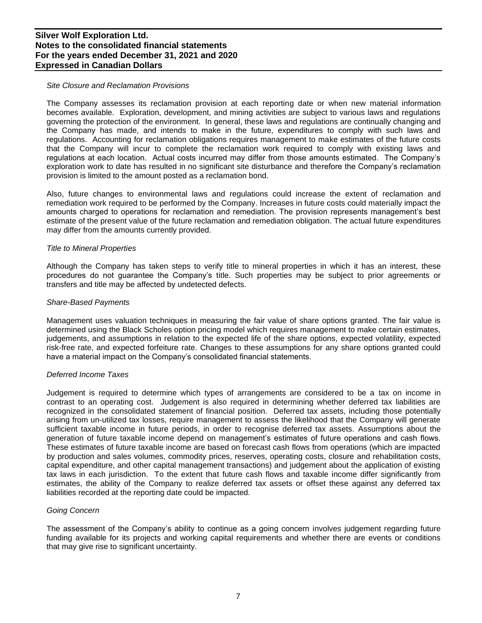#### *Site Closure and Reclamation Provisions*

The Company assesses its reclamation provision at each reporting date or when new material information becomes available. Exploration, development, and mining activities are subject to various laws and regulations governing the protection of the environment. In general, these laws and regulations are continually changing and the Company has made, and intends to make in the future, expenditures to comply with such laws and regulations. Accounting for reclamation obligations requires management to make estimates of the future costs that the Company will incur to complete the reclamation work required to comply with existing laws and regulations at each location. Actual costs incurred may differ from those amounts estimated. The Company's exploration work to date has resulted in no significant site disturbance and therefore the Company's reclamation provision is limited to the amount posted as a reclamation bond.

Also, future changes to environmental laws and regulations could increase the extent of reclamation and remediation work required to be performed by the Company. Increases in future costs could materially impact the amounts charged to operations for reclamation and remediation. The provision represents management's best estimate of the present value of the future reclamation and remediation obligation. The actual future expenditures may differ from the amounts currently provided.

#### *Title to Mineral Properties*

Although the Company has taken steps to verify title to mineral properties in which it has an interest, these procedures do not guarantee the Company's title. Such properties may be subject to prior agreements or transfers and title may be affected by undetected defects.

#### *Share-Based Payments*

Management uses valuation techniques in measuring the fair value of share options granted. The fair value is determined using the Black Scholes option pricing model which requires management to make certain estimates, judgements, and assumptions in relation to the expected life of the share options, expected volatility, expected risk-free rate, and expected forfeiture rate. Changes to these assumptions for any share options granted could have a material impact on the Company's consolidated financial statements.

# *Deferred Income Taxes*

Judgement is required to determine which types of arrangements are considered to be a tax on income in contrast to an operating cost. Judgement is also required in determining whether deferred tax liabilities are recognized in the consolidated statement of financial position. Deferred tax assets, including those potentially arising from un-utilized tax losses, require management to assess the likelihood that the Company will generate sufficient taxable income in future periods, in order to recognise deferred tax assets. Assumptions about the generation of future taxable income depend on management's estimates of future operations and cash flows. These estimates of future taxable income are based on forecast cash flows from operations (which are impacted by production and sales volumes, commodity prices, reserves, operating costs, closure and rehabilitation costs, capital expenditure, and other capital management transactions) and judgement about the application of existing tax laws in each jurisdiction. To the extent that future cash flows and taxable income differ significantly from estimates, the ability of the Company to realize deferred tax assets or offset these against any deferred tax liabilities recorded at the reporting date could be impacted.

# *Going Concern*

The assessment of the Company's ability to continue as a going concern involves judgement regarding future funding available for its projects and working capital requirements and whether there are events or conditions that may give rise to significant uncertainty.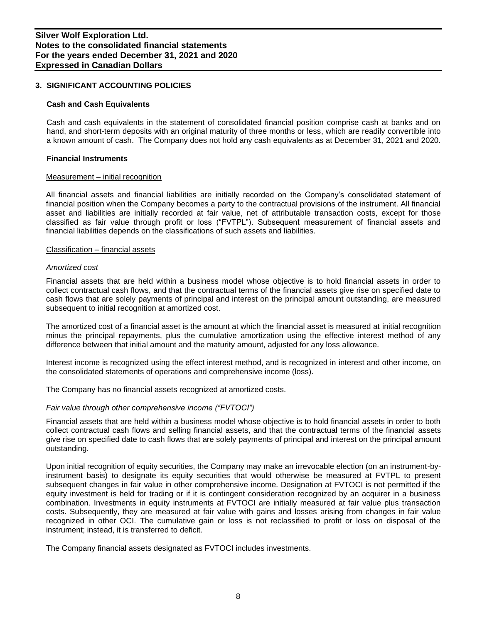# **3. SIGNIFICANT ACCOUNTING POLICIES**

#### **Cash and Cash Equivalents**

Cash and cash equivalents in the statement of consolidated financial position comprise cash at banks and on hand, and short-term deposits with an original maturity of three months or less, which are readily convertible into a known amount of cash. The Company does not hold any cash equivalents as at December 31, 2021 and 2020.

#### **Financial Instruments**

#### Measurement – initial recognition

All financial assets and financial liabilities are initially recorded on the Company's consolidated statement of financial position when the Company becomes a party to the contractual provisions of the instrument. All financial asset and liabilities are initially recorded at fair value, net of attributable transaction costs, except for those classified as fair value through profit or loss ("FVTPL"). Subsequent measurement of financial assets and financial liabilities depends on the classifications of such assets and liabilities.

#### Classification – financial assets

#### *Amortized cost*

Financial assets that are held within a business model whose objective is to hold financial assets in order to collect contractual cash flows, and that the contractual terms of the financial assets give rise on specified date to cash flows that are solely payments of principal and interest on the principal amount outstanding, are measured subsequent to initial recognition at amortized cost.

The amortized cost of a financial asset is the amount at which the financial asset is measured at initial recognition minus the principal repayments, plus the cumulative amortization using the effective interest method of any difference between that initial amount and the maturity amount, adjusted for any loss allowance.

Interest income is recognized using the effect interest method, and is recognized in interest and other income, on the consolidated statements of operations and comprehensive income (loss).

The Company has no financial assets recognized at amortized costs.

# *Fair value through other comprehensive income ("FVTOCI")*

Financial assets that are held within a business model whose objective is to hold financial assets in order to both collect contractual cash flows and selling financial assets, and that the contractual terms of the financial assets give rise on specified date to cash flows that are solely payments of principal and interest on the principal amount outstanding.

Upon initial recognition of equity securities, the Company may make an irrevocable election (on an instrument-byinstrument basis) to designate its equity securities that would otherwise be measured at FVTPL to present subsequent changes in fair value in other comprehensive income. Designation at FVTOCI is not permitted if the equity investment is held for trading or if it is contingent consideration recognized by an acquirer in a business combination. Investments in equity instruments at FVTOCI are initially measured at fair value plus transaction costs. Subsequently, they are measured at fair value with gains and losses arising from changes in fair value recognized in other OCI. The cumulative gain or loss is not reclassified to profit or loss on disposal of the instrument; instead, it is transferred to deficit.

The Company financial assets designated as FVTOCI includes investments.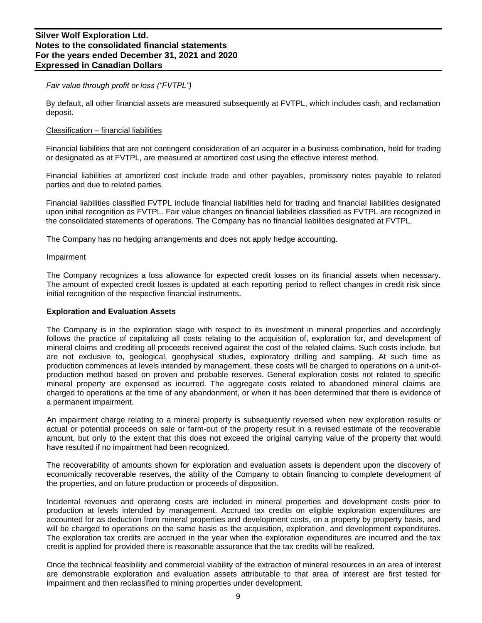# *Fair value through profit or loss ("FVTPL")*

By default, all other financial assets are measured subsequently at FVTPL, which includes cash, and reclamation deposit.

#### Classification – financial liabilities

Financial liabilities that are not contingent consideration of an acquirer in a business combination, held for trading or designated as at FVTPL, are measured at amortized cost using the effective interest method.

Financial liabilities at amortized cost include trade and other payables, promissory notes payable to related parties and due to related parties.

Financial liabilities classified FVTPL include financial liabilities held for trading and financial liabilities designated upon initial recognition as FVTPL. Fair value changes on financial liabilities classified as FVTPL are recognized in the consolidated statements of operations. The Company has no financial liabilities designated at FVTPL.

The Company has no hedging arrangements and does not apply hedge accounting.

#### Impairment

The Company recognizes a loss allowance for expected credit losses on its financial assets when necessary. The amount of expected credit losses is updated at each reporting period to reflect changes in credit risk since initial recognition of the respective financial instruments.

#### **Exploration and Evaluation Assets**

The Company is in the exploration stage with respect to its investment in mineral properties and accordingly follows the practice of capitalizing all costs relating to the acquisition of, exploration for, and development of mineral claims and crediting all proceeds received against the cost of the related claims. Such costs include, but are not exclusive to, geological, geophysical studies, exploratory drilling and sampling. At such time as production commences at levels intended by management, these costs will be charged to operations on a unit-ofproduction method based on proven and probable reserves. General exploration costs not related to specific mineral property are expensed as incurred. The aggregate costs related to abandoned mineral claims are charged to operations at the time of any abandonment, or when it has been determined that there is evidence of a permanent impairment.

An impairment charge relating to a mineral property is subsequently reversed when new exploration results or actual or potential proceeds on sale or farm-out of the property result in a revised estimate of the recoverable amount, but only to the extent that this does not exceed the original carrying value of the property that would have resulted if no impairment had been recognized.

The recoverability of amounts shown for exploration and evaluation assets is dependent upon the discovery of economically recoverable reserves, the ability of the Company to obtain financing to complete development of the properties, and on future production or proceeds of disposition.

Incidental revenues and operating costs are included in mineral properties and development costs prior to production at levels intended by management. Accrued tax credits on eligible exploration expenditures are accounted for as deduction from mineral properties and development costs, on a property by property basis, and will be charged to operations on the same basis as the acquisition, exploration, and development expenditures. The exploration tax credits are accrued in the year when the exploration expenditures are incurred and the tax credit is applied for provided there is reasonable assurance that the tax credits will be realized.

Once the technical feasibility and commercial viability of the extraction of mineral resources in an area of interest are demonstrable exploration and evaluation assets attributable to that area of interest are first tested for impairment and then reclassified to mining properties under development.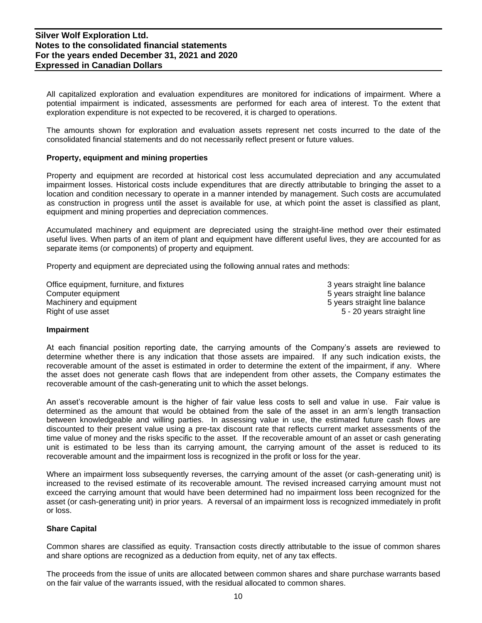All capitalized exploration and evaluation expenditures are monitored for indications of impairment. Where a potential impairment is indicated, assessments are performed for each area of interest. To the extent that exploration expenditure is not expected to be recovered, it is charged to operations.

The amounts shown for exploration and evaluation assets represent net costs incurred to the date of the consolidated financial statements and do not necessarily reflect present or future values.

# **Property, equipment and mining properties**

Property and equipment are recorded at historical cost less accumulated depreciation and any accumulated impairment losses. Historical costs include expenditures that are directly attributable to bringing the asset to a location and condition necessary to operate in a manner intended by management. Such costs are accumulated as construction in progress until the asset is available for use, at which point the asset is classified as plant, equipment and mining properties and depreciation commences.

Accumulated machinery and equipment are depreciated using the straight-line method over their estimated useful lives. When parts of an item of plant and equipment have different useful lives, they are accounted for as separate items (or components) of property and equipment.

Property and equipment are depreciated using the following annual rates and methods:

Office equipment, furniture, and fixtures 3 years straight line balance Computer equipment **Computer Equipment**  $\sim$  5 years straight line balance Machinery and equipment **5** years straight line balance Right of use asset 5 - 20 years straight line

#### **Impairment**

At each financial position reporting date, the carrying amounts of the Company's assets are reviewed to determine whether there is any indication that those assets are impaired. If any such indication exists, the recoverable amount of the asset is estimated in order to determine the extent of the impairment, if any. Where the asset does not generate cash flows that are independent from other assets, the Company estimates the recoverable amount of the cash-generating unit to which the asset belongs.

An asset's recoverable amount is the higher of fair value less costs to sell and value in use. Fair value is determined as the amount that would be obtained from the sale of the asset in an arm's length transaction between knowledgeable and willing parties. In assessing value in use, the estimated future cash flows are discounted to their present value using a pre-tax discount rate that reflects current market assessments of the time value of money and the risks specific to the asset. If the recoverable amount of an asset or cash generating unit is estimated to be less than its carrying amount, the carrying amount of the asset is reduced to its recoverable amount and the impairment loss is recognized in the profit or loss for the year.

Where an impairment loss subsequently reverses, the carrying amount of the asset (or cash-generating unit) is increased to the revised estimate of its recoverable amount. The revised increased carrying amount must not exceed the carrying amount that would have been determined had no impairment loss been recognized for the asset (or cash-generating unit) in prior years. A reversal of an impairment loss is recognized immediately in profit or loss.

# **Share Capital**

Common shares are classified as equity. Transaction costs directly attributable to the issue of common shares and share options are recognized as a deduction from equity, net of any tax effects.

The proceeds from the issue of units are allocated between common shares and share purchase warrants based on the fair value of the warrants issued, with the residual allocated to common shares.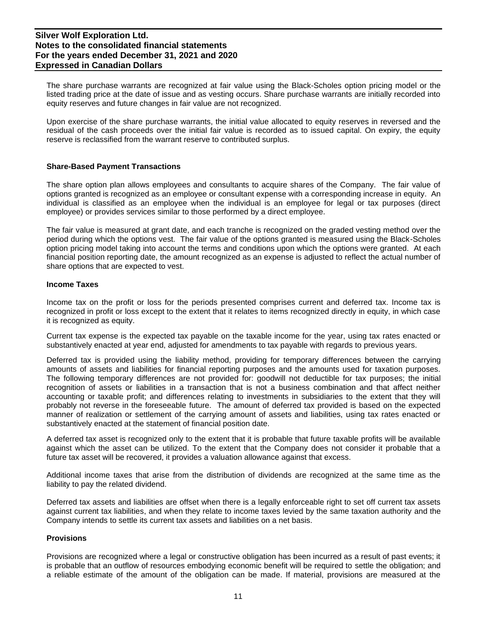The share purchase warrants are recognized at fair value using the Black-Scholes option pricing model or the listed trading price at the date of issue and as vesting occurs. Share purchase warrants are initially recorded into equity reserves and future changes in fair value are not recognized.

Upon exercise of the share purchase warrants, the initial value allocated to equity reserves in reversed and the residual of the cash proceeds over the initial fair value is recorded as to issued capital. On expiry, the equity reserve is reclassified from the warrant reserve to contributed surplus.

# **Share-Based Payment Transactions**

The share option plan allows employees and consultants to acquire shares of the Company. The fair value of options granted is recognized as an employee or consultant expense with a corresponding increase in equity. An individual is classified as an employee when the individual is an employee for legal or tax purposes (direct employee) or provides services similar to those performed by a direct employee.

The fair value is measured at grant date, and each tranche is recognized on the graded vesting method over the period during which the options vest. The fair value of the options granted is measured using the Black-Scholes option pricing model taking into account the terms and conditions upon which the options were granted. At each financial position reporting date, the amount recognized as an expense is adjusted to reflect the actual number of share options that are expected to vest.

# **Income Taxes**

Income tax on the profit or loss for the periods presented comprises current and deferred tax. Income tax is recognized in profit or loss except to the extent that it relates to items recognized directly in equity, in which case it is recognized as equity.

Current tax expense is the expected tax payable on the taxable income for the year, using tax rates enacted or substantively enacted at year end, adjusted for amendments to tax payable with regards to previous years.

Deferred tax is provided using the liability method, providing for temporary differences between the carrying amounts of assets and liabilities for financial reporting purposes and the amounts used for taxation purposes. The following temporary differences are not provided for: goodwill not deductible for tax purposes; the initial recognition of assets or liabilities in a transaction that is not a business combination and that affect neither accounting or taxable profit; and differences relating to investments in subsidiaries to the extent that they will probably not reverse in the foreseeable future. The amount of deferred tax provided is based on the expected manner of realization or settlement of the carrying amount of assets and liabilities, using tax rates enacted or substantively enacted at the statement of financial position date.

A deferred tax asset is recognized only to the extent that it is probable that future taxable profits will be available against which the asset can be utilized. To the extent that the Company does not consider it probable that a future tax asset will be recovered, it provides a valuation allowance against that excess.

Additional income taxes that arise from the distribution of dividends are recognized at the same time as the liability to pay the related dividend.

Deferred tax assets and liabilities are offset when there is a legally enforceable right to set off current tax assets against current tax liabilities, and when they relate to income taxes levied by the same taxation authority and the Company intends to settle its current tax assets and liabilities on a net basis.

# **Provisions**

Provisions are recognized where a legal or constructive obligation has been incurred as a result of past events; it is probable that an outflow of resources embodying economic benefit will be required to settle the obligation; and a reliable estimate of the amount of the obligation can be made. If material, provisions are measured at the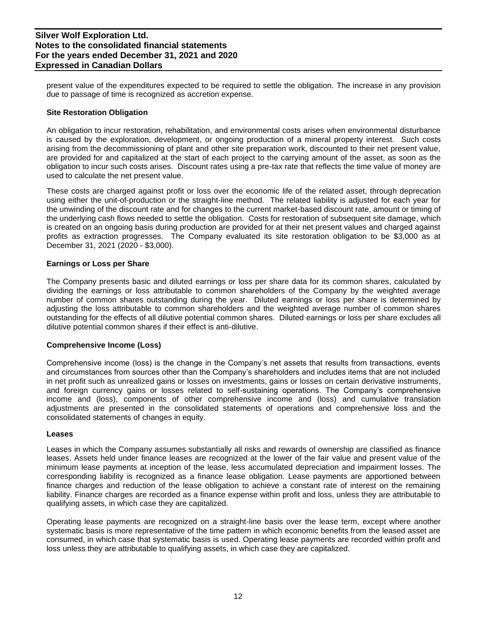present value of the expenditures expected to be required to settle the obligation. The increase in any provision due to passage of time is recognized as accretion expense.

# **Site Restoration Obligation**

An obligation to incur restoration, rehabilitation, and environmental costs arises when environmental disturbance is caused by the exploration, development, or ongoing production of a mineral property interest. Such costs arising from the decommissioning of plant and other site preparation work, discounted to their net present value, are provided for and capitalized at the start of each project to the carrying amount of the asset, as soon as the obligation to incur such costs arises. Discount rates using a pre-tax rate that reflects the time value of money are used to calculate the net present value.

These costs are charged against profit or loss over the economic life of the related asset, through deprecation using either the unit-of-production or the straight-line method. The related liability is adjusted for each year for the unwinding of the discount rate and for changes to the current market-based discount rate, amount or timing of the underlying cash flows needed to settle the obligation. Costs for restoration of subsequent site damage, which is created on an ongoing basis during production are provided for at their net present values and charged against profits as extraction progresses. The Company evaluated its site restoration obligation to be \$3,000 as at December 31, 2021 (2020 - \$3,000).

# **Earnings or Loss per Share**

The Company presents basic and diluted earnings or loss per share data for its common shares, calculated by dividing the earnings or loss attributable to common shareholders of the Company by the weighted average number of common shares outstanding during the year. Diluted earnings or loss per share is determined by adjusting the loss attributable to common shareholders and the weighted average number of common shares outstanding for the effects of all dilutive potential common shares. Diluted earnings or loss per share excludes all dilutive potential common shares if their effect is anti-dilutive.

# **Comprehensive Income (Loss)**

Comprehensive income (loss) is the change in the Company's net assets that results from transactions, events and circumstances from sources other than the Company's shareholders and includes items that are not included in net profit such as unrealized gains or losses on investments, gains or losses on certain derivative instruments, and foreign currency gains or losses related to self-sustaining operations. The Company's comprehensive income and (loss), components of other comprehensive income and (loss) and cumulative translation adjustments are presented in the consolidated statements of operations and comprehensive loss and the consolidated statements of changes in equity.

# **Leases**

Leases in which the Company assumes substantially all risks and rewards of ownership are classified as finance leases. Assets held under finance leases are recognized at the lower of the fair value and present value of the minimum lease payments at inception of the lease, less accumulated depreciation and impairment losses. The corresponding liability is recognized as a finance lease obligation. Lease payments are apportioned between finance charges and reduction of the lease obligation to achieve a constant rate of interest on the remaining liability. Finance charges are recorded as a finance expense within profit and loss, unless they are attributable to qualifying assets, in which case they are capitalized.

Operating lease payments are recognized on a straight-line basis over the lease term, except where another systematic basis is more representative of the time pattern in which economic benefits from the leased asset are consumed, in which case that systematic basis is used. Operating lease payments are recorded within profit and loss unless they are attributable to qualifying assets, in which case they are capitalized.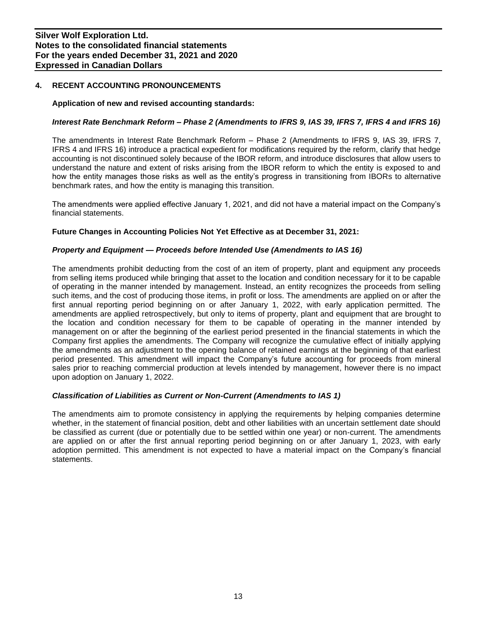# **4. RECENT ACCOUNTING PRONOUNCEMENTS**

# **Application of new and revised accounting standards:**

# *Interest Rate Benchmark Reform – Phase 2 (Amendments to IFRS 9, IAS 39, IFRS 7, IFRS 4 and IFRS 16)*

The amendments in Interest Rate Benchmark Reform – Phase 2 (Amendments to IFRS 9, IAS 39, IFRS 7, IFRS 4 and IFRS 16) introduce a practical expedient for modifications required by the reform, clarify that hedge accounting is not discontinued solely because of the IBOR reform, and introduce disclosures that allow users to understand the nature and extent of risks arising from the IBOR reform to which the entity is exposed to and how the entity manages those risks as well as the entity's progress in transitioning from IBORs to alternative benchmark rates, and how the entity is managing this transition.

The amendments were applied effective January 1, 2021, and did not have a material impact on the Company's financial statements.

# **Future Changes in Accounting Policies Not Yet Effective as at December 31, 2021:**

# *Property and Equipment — Proceeds before Intended Use (Amendments to IAS 16)*

The amendments prohibit deducting from the cost of an item of property, plant and equipment any proceeds from selling items produced while bringing that asset to the location and condition necessary for it to be capable of operating in the manner intended by management. Instead, an entity recognizes the proceeds from selling such items, and the cost of producing those items, in profit or loss. The amendments are applied on or after the first annual reporting period beginning on or after January 1, 2022, with early application permitted. The amendments are applied retrospectively, but only to items of property, plant and equipment that are brought to the location and condition necessary for them to be capable of operating in the manner intended by management on or after the beginning of the earliest period presented in the financial statements in which the Company first applies the amendments. The Company will recognize the cumulative effect of initially applying the amendments as an adjustment to the opening balance of retained earnings at the beginning of that earliest period presented. This amendment will impact the Company's future accounting for proceeds from mineral sales prior to reaching commercial production at levels intended by management, however there is no impact upon adoption on January 1, 2022.

# *Classification of Liabilities as Current or Non-Current (Amendments to IAS 1)*

The amendments aim to promote consistency in applying the requirements by helping companies determine whether, in the statement of financial position, debt and other liabilities with an uncertain settlement date should be classified as current (due or potentially due to be settled within one year) or non-current. The amendments are applied on or after the first annual reporting period beginning on or after January 1, 2023, with early adoption permitted. This amendment is not expected to have a material impact on the Company's financial statements.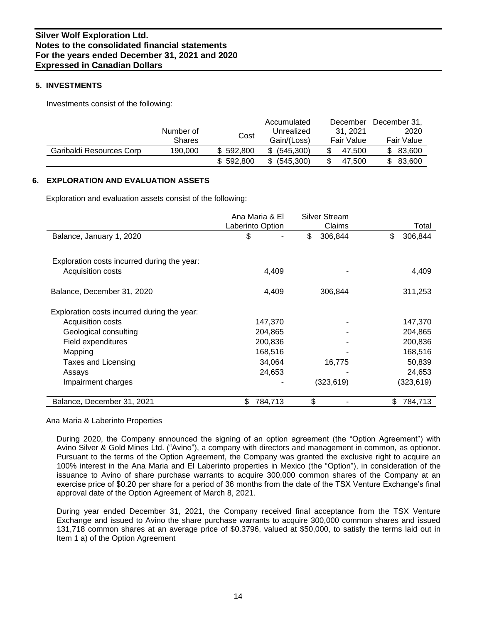# **5. INVESTMENTS**

Investments consist of the following:

|                          |           |           | Accumulated  | December   | December 31,  |
|--------------------------|-----------|-----------|--------------|------------|---------------|
|                          | Number of |           | Unrealized   | 31.2021    | 2020          |
|                          | Shares    | Cost      | Gain/(Loss)  | Fair Value | Fair Value    |
| Garibaldi Resources Corp | 190.000   | \$592,800 | \$ (545.300) | 47.500     | 83,600<br>\$. |
|                          |           | \$592,800 | (545,300)    | 47.500     | 83.600        |

# **6. EXPLORATION AND EVALUATION ASSETS**

Exploration and evaluation assets consist of the following:

|                                             | Ana Maria & El   | <b>Silver Stream</b> |               |
|---------------------------------------------|------------------|----------------------|---------------|
|                                             | Laberinto Option | Claims               | Total         |
| Balance, January 1, 2020                    | \$               | \$<br>306,844        | \$<br>306,844 |
|                                             |                  |                      |               |
| Exploration costs incurred during the year: |                  |                      |               |
| Acquisition costs                           | 4,409            |                      | 4,409         |
|                                             |                  |                      |               |
| Balance, December 31, 2020                  | 4,409            | 306,844              | 311,253       |
|                                             |                  |                      |               |
| Exploration costs incurred during the year: |                  |                      |               |
| Acquisition costs                           | 147,370          |                      | 147,370       |
| Geological consulting                       | 204,865          |                      | 204,865       |
| Field expenditures                          | 200,836          |                      | 200,836       |
| Mapping                                     | 168,516          |                      | 168,516       |
| Taxes and Licensing                         | 34,064           | 16,775               | 50,839        |
| Assays                                      | 24,653           |                      | 24,653        |
| Impairment charges                          |                  | (323, 619)           | (323, 619)    |
|                                             |                  |                      |               |
| Balance, December 31, 2021                  | \$<br>784,713    | \$                   | 784,713<br>\$ |

# Ana Maria & Laberinto Properties

During 2020, the Company announced the signing of an option agreement (the "Option Agreement") with Avino Silver & Gold Mines Ltd. ("Avino"), a company with directors and management in common, as optionor. Pursuant to the terms of the Option Agreement, the Company was granted the exclusive right to acquire an 100% interest in the Ana Maria and El Laberinto properties in Mexico (the "Option"), in consideration of the issuance to Avino of share purchase warrants to acquire 300,000 common shares of the Company at an exercise price of \$0.20 per share for a period of 36 months from the date of the TSX Venture Exchange's final approval date of the Option Agreement of March 8, 2021.

During year ended December 31, 2021, the Company received final acceptance from the TSX Venture Exchange and issued to Avino the share purchase warrants to acquire 300,000 common shares and issued 131,718 common shares at an average price of \$0.3796, valued at \$50,000, to satisfy the terms laid out in Item 1 a) of the Option Agreement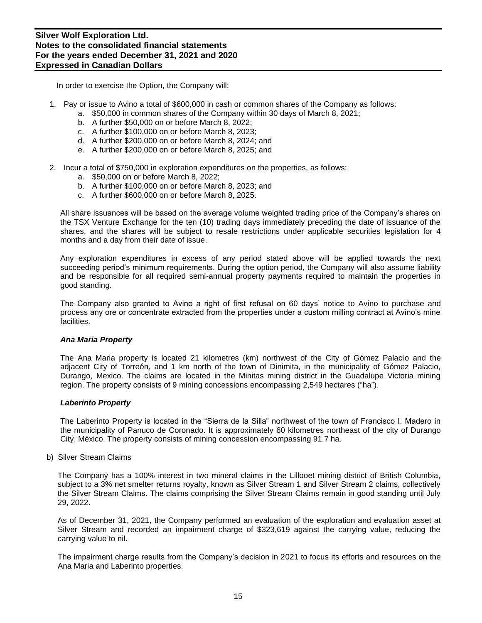In order to exercise the Option, the Company will:

- 1. Pay or issue to Avino a total of \$600,000 in cash or common shares of the Company as follows:
	- a. \$50,000 in common shares of the Company within 30 days of March 8, 2021;
		- b. A further \$50,000 on or before March 8, 2022;
		- c. A further \$100,000 on or before March 8, 2023;
		- d. A further \$200,000 on or before March 8, 2024; and
		- e. A further \$200,000 on or before March 8, 2025; and
- 2. Incur a total of \$750,000 in exploration expenditures on the properties, as follows:
	- a. \$50,000 on or before March 8, 2022;
	- b. A further \$100,000 on or before March 8, 2023; and
	- c. A further \$600,000 on or before March 8, 2025.

All share issuances will be based on the average volume weighted trading price of the Company's shares on the TSX Venture Exchange for the ten (10) trading days immediately preceding the date of issuance of the shares, and the shares will be subject to resale restrictions under applicable securities legislation for 4 months and a day from their date of issue.

Any exploration expenditures in excess of any period stated above will be applied towards the next succeeding period's minimum requirements. During the option period, the Company will also assume liability and be responsible for all required semi-annual property payments required to maintain the properties in good standing.

The Company also granted to Avino a right of first refusal on 60 days' notice to Avino to purchase and process any ore or concentrate extracted from the properties under a custom milling contract at Avino's mine facilities.

# *Ana Maria Property*

The Ana Maria property is located 21 kilometres (km) northwest of the City of Gómez Palacio and the adjacent City of Torreón, and 1 km north of the town of Dinimita, in the municipality of Gómez Palacio, Durango, Mexico. The claims are located in the Minitas mining district in the Guadalupe Victoria mining region. The property consists of 9 mining concessions encompassing 2,549 hectares ("ha").

# *Laberinto Property*

The Laberinto Property is located in the "Sierra de la Silla" northwest of the town of Francisco I. Madero in the municipality of Panuco de Coronado. It is approximately 60 kilometres northeast of the city of Durango City, México. The property consists of mining concession encompassing 91.7 ha.

b) Silver Stream Claims

The Company has a 100% interest in two mineral claims in the Lillooet mining district of British Columbia, subject to a 3% net smelter returns royalty, known as Silver Stream 1 and Silver Stream 2 claims, collectively the Silver Stream Claims. The claims comprising the Silver Stream Claims remain in good standing until July 29, 2022.

As of December 31, 2021, the Company performed an evaluation of the exploration and evaluation asset at Silver Stream and recorded an impairment charge of \$323,619 against the carrying value, reducing the carrying value to nil.

The impairment charge results from the Company's decision in 2021 to focus its efforts and resources on the Ana Maria and Laberinto properties.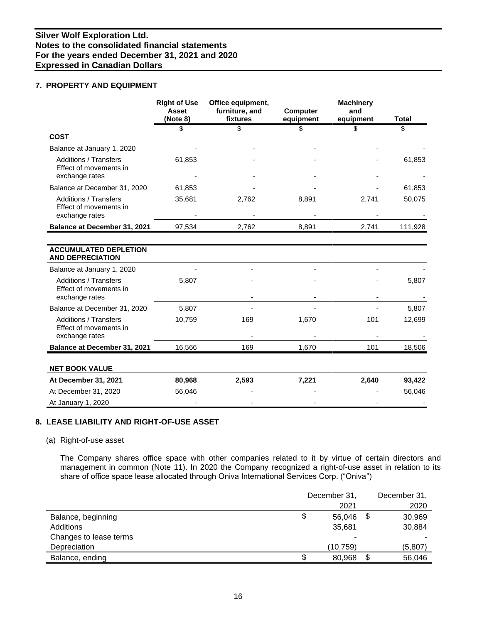# **7. PROPERTY AND EQUIPMENT**

|                                                                          | <b>Right of Use</b><br><b>Asset</b><br>(Note 8) | Office equipment,<br>furniture, and<br>fixtures | Computer<br>equipment | <b>Machinery</b><br>and<br>equipment | <b>Total</b> |
|--------------------------------------------------------------------------|-------------------------------------------------|-------------------------------------------------|-----------------------|--------------------------------------|--------------|
| <b>COST</b>                                                              | \$                                              | \$                                              | \$                    | \$                                   | \$           |
| Balance at January 1, 2020                                               |                                                 |                                                 |                       |                                      |              |
| <b>Additions / Transfers</b><br>Effect of movements in<br>exchange rates | 61,853                                          |                                                 |                       |                                      | 61,853       |
| Balance at December 31, 2020                                             | 61,853                                          |                                                 |                       |                                      | 61,853       |
| <b>Additions / Transfers</b><br>Effect of movements in<br>exchange rates | 35,681                                          | 2,762                                           | 8,891                 | 2,741                                | 50,075       |
| Balance at December 31, 2021                                             | 97,534                                          | 2,762                                           | 8,891                 | 2,741                                | 111,928      |
| <b>ACCUMULATED DEPLETION</b><br><b>AND DEPRECIATION</b>                  |                                                 |                                                 |                       |                                      |              |
| Balance at January 1, 2020                                               |                                                 |                                                 |                       |                                      |              |
| <b>Additions / Transfers</b><br>Effect of movements in<br>exchange rates | 5,807                                           |                                                 |                       |                                      | 5,807        |
| Balance at December 31, 2020                                             | 5,807                                           |                                                 |                       |                                      | 5,807        |
| <b>Additions / Transfers</b><br>Effect of movements in<br>exchange rates | 10,759                                          | 169                                             | 1,670                 | 101                                  | 12,699       |
| Balance at December 31, 2021                                             | 16.566                                          | 169                                             | 1,670                 | 101                                  | 18,506       |
| <b>NET BOOK VALUE</b>                                                    |                                                 |                                                 |                       |                                      |              |
| At December 31, 2021                                                     | 80,968                                          | 2,593                                           | 7,221                 | 2,640                                | 93,422       |
| At December 31, 2020                                                     | 56,046                                          |                                                 |                       |                                      | 56,046       |
| At January 1, 2020                                                       |                                                 |                                                 |                       |                                      |              |

# **8. LEASE LIABILITY AND RIGHT-OF-USE ASSET**

# (a) Right-of-use asset

The Company shares office space with other companies related to it by virtue of certain directors and management in common (Note 11). In 2020 the Company recognized a right-of-use asset in relation to its share of office space lease allocated through Oniva International Services Corp. ("Oniva")

|                        | December 31, |           |    | December 31, |  |
|------------------------|--------------|-----------|----|--------------|--|
|                        |              | 2021      |    | 2020         |  |
| Balance, beginning     | \$           | 56,046    |    | 30,969       |  |
| Additions              |              | 35,681    |    | 30,884       |  |
| Changes to lease terms |              | -         |    |              |  |
| Depreciation           |              | (10, 759) |    | (5,807)      |  |
| Balance, ending        |              | 80,968    | \$ | 56,046       |  |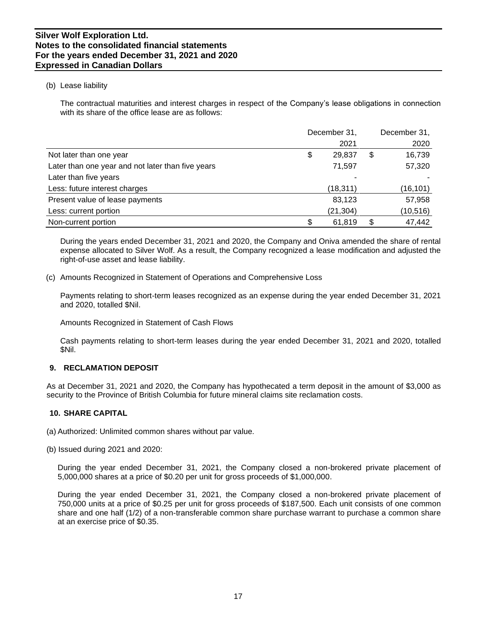# (b) Lease liability

The contractual maturities and interest charges in respect of the Company's lease obligations in connection with its share of the office lease are as follows:

|                                                   | December 31, |           | December 31, |           |
|---------------------------------------------------|--------------|-----------|--------------|-----------|
|                                                   |              | 2021      |              | 2020      |
| Not later than one year                           | \$           | 29,837    | \$           | 16,739    |
| Later than one year and not later than five years |              | 71,597    |              | 57,320    |
| Later than five years                             |              |           |              |           |
| Less: future interest charges                     |              | (18, 311) |              | (16, 101) |
| Present value of lease payments                   |              | 83,123    |              | 57,958    |
| Less: current portion                             |              | (21, 304) |              | (10, 516) |
| Non-current portion                               |              | 61,819    | \$.          | 47,442    |

During the years ended December 31, 2021 and 2020, the Company and Oniva amended the share of rental expense allocated to Silver Wolf. As a result, the Company recognized a lease modification and adjusted the right-of-use asset and lease liability.

(c) Amounts Recognized in Statement of Operations and Comprehensive Loss

Payments relating to short-term leases recognized as an expense during the year ended December 31, 2021 and 2020, totalled \$Nil.

Amounts Recognized in Statement of Cash Flows

Cash payments relating to short-term leases during the year ended December 31, 2021 and 2020, totalled \$Nil.

# **9. RECLAMATION DEPOSIT**

As at December 31, 2021 and 2020, the Company has hypothecated a term deposit in the amount of \$3,000 as security to the Province of British Columbia for future mineral claims site reclamation costs.

# **10. SHARE CAPITAL**

- (a) Authorized: Unlimited common shares without par value.
- (b) Issued during 2021 and 2020:

During the year ended December 31, 2021, the Company closed a non-brokered private placement of 5,000,000 shares at a price of \$0.20 per unit for gross proceeds of \$1,000,000.

During the year ended December 31, 2021, the Company closed a non-brokered private placement of 750,000 units at a price of \$0.25 per unit for gross proceeds of \$187,500. Each unit consists of one common share and one half (1/2) of a non-transferable common share purchase warrant to purchase a common share at an exercise price of \$0.35.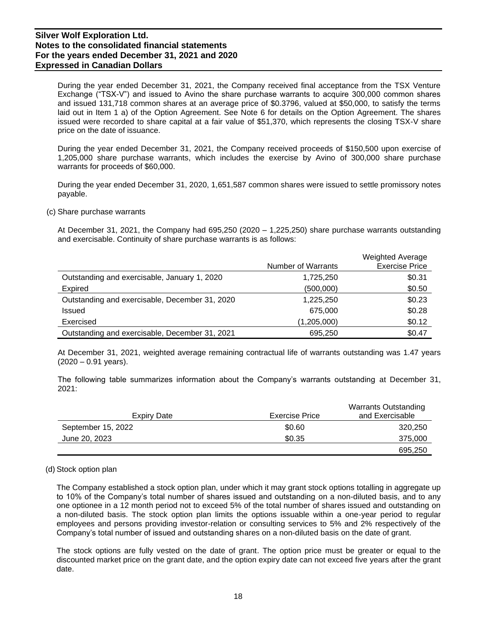During the year ended December 31, 2021, the Company received final acceptance from the TSX Venture Exchange ("TSX-V") and issued to Avino the share purchase warrants to acquire 300,000 common shares and issued 131,718 common shares at an average price of \$0.3796, valued at \$50,000, to satisfy the terms laid out in Item 1 a) of the Option Agreement. See Note 6 for details on the Option Agreement. The shares issued were recorded to share capital at a fair value of \$51,370, which represents the closing TSX-V share price on the date of issuance.

During the year ended December 31, 2021, the Company received proceeds of \$150,500 upon exercise of 1,205,000 share purchase warrants, which includes the exercise by Avino of 300,000 share purchase warrants for proceeds of \$60,000.

During the year ended December 31, 2020, 1,651,587 common shares were issued to settle promissory notes payable.

#### (c) Share purchase warrants

At December 31, 2021, the Company had 695,250 (2020 – 1,225,250) share purchase warrants outstanding and exercisable. Continuity of share purchase warrants is as follows:

|                                                |                    | <b>Weighted Average</b> |
|------------------------------------------------|--------------------|-------------------------|
|                                                | Number of Warrants | <b>Exercise Price</b>   |
| Outstanding and exercisable, January 1, 2020   | 1,725,250          | \$0.31                  |
| Expired                                        | (500,000)          | \$0.50                  |
| Outstanding and exercisable, December 31, 2020 | 1,225,250          | \$0.23                  |
| <b>Issued</b>                                  | 675,000            | \$0.28                  |
| Exercised                                      | (1,205,000)        | \$0.12                  |
| Outstanding and exercisable, December 31, 2021 | 695,250            | \$0.47                  |

At December 31, 2021, weighted average remaining contractual life of warrants outstanding was 1.47 years  $(2020 - 0.91 \text{ years}).$ 

The following table summarizes information about the Company's warrants outstanding at December 31, 2021:

| Expiry Date        | Exercise Price | <b>Warrants Outstanding</b><br>and Exercisable |
|--------------------|----------------|------------------------------------------------|
| September 15, 2022 | \$0.60         | 320,250                                        |
| June 20, 2023      | \$0.35         | 375,000                                        |
|                    |                | 695,250                                        |

# (d) Stock option plan

The Company established a stock option plan, under which it may grant stock options totalling in aggregate up to 10% of the Company's total number of shares issued and outstanding on a non-diluted basis, and to any one optionee in a 12 month period not to exceed 5% of the total number of shares issued and outstanding on a non-diluted basis. The stock option plan limits the options issuable within a one-year period to regular employees and persons providing investor-relation or consulting services to 5% and 2% respectively of the Company's total number of issued and outstanding shares on a non-diluted basis on the date of grant.

The stock options are fully vested on the date of grant. The option price must be greater or equal to the discounted market price on the grant date, and the option expiry date can not exceed five years after the grant date.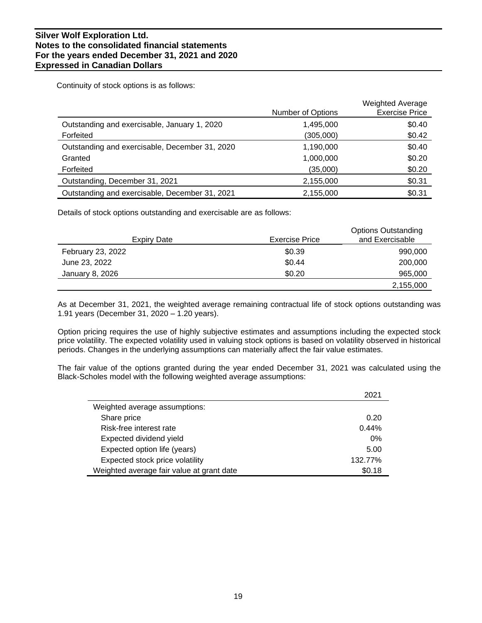Continuity of stock options is as follows:

|                                                | Number of Options | <b>Weighted Average</b><br><b>Exercise Price</b> |
|------------------------------------------------|-------------------|--------------------------------------------------|
| Outstanding and exercisable, January 1, 2020   | 1,495,000         | \$0.40                                           |
| Forfeited                                      | (305,000)         | \$0.42                                           |
| Outstanding and exercisable, December 31, 2020 | 1,190,000         | \$0.40                                           |
| Granted                                        | 1,000,000         | \$0.20                                           |
| Forfeited                                      | (35,000)          | \$0.20                                           |
| Outstanding, December 31, 2021                 | 2,155,000         | \$0.31                                           |
| Outstanding and exercisable, December 31, 2021 | 2,155,000         | \$0.31                                           |

Details of stock options outstanding and exercisable are as follows:

| Expiry Date       | Exercise Price | <b>Options Outstanding</b><br>and Exercisable |
|-------------------|----------------|-----------------------------------------------|
| February 23, 2022 | \$0.39         | 990,000                                       |
| June 23, 2022     | \$0.44         | 200,000                                       |
| January 8, 2026   | \$0.20         | 965,000                                       |
|                   |                | 2,155,000                                     |

As at December 31, 2021, the weighted average remaining contractual life of stock options outstanding was 1.91 years (December 31, 2020 – 1.20 years).

Option pricing requires the use of highly subjective estimates and assumptions including the expected stock price volatility. The expected volatility used in valuing stock options is based on volatility observed in historical periods. Changes in the underlying assumptions can materially affect the fair value estimates.

The fair value of the options granted during the year ended December 31, 2021 was calculated using the Black-Scholes model with the following weighted average assumptions:

|                                           | 2021    |
|-------------------------------------------|---------|
| Weighted average assumptions:             |         |
| Share price                               | 0.20    |
| Risk-free interest rate                   | 0.44%   |
| Expected dividend yield                   | 0%      |
| Expected option life (years)              | 5.00    |
| Expected stock price volatility           | 132.77% |
| Weighted average fair value at grant date | \$0.18  |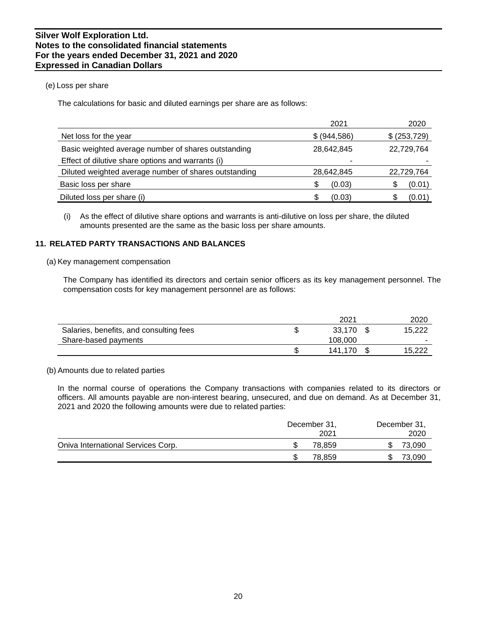# (e) Loss per share

The calculations for basic and diluted earnings per share are as follows:

|                                                       | 2021          | 2020          |
|-------------------------------------------------------|---------------|---------------|
| Net loss for the year                                 | \$ (944, 586) | \$ (253, 729) |
| Basic weighted average number of shares outstanding   | 28,642,845    | 22,729,764    |
| Effect of dilutive share options and warrants (i)     |               |               |
| Diluted weighted average number of shares outstanding | 28,642,845    | 22,729,764    |
| Basic loss per share                                  | (0.03)        | (0.01)        |
| Diluted loss per share (i)                            | (0.03)        | (0.01)        |

(i) As the effect of dilutive share options and warrants is anti-dilutive on loss per share, the diluted amounts presented are the same as the basic loss per share amounts.

# **11. RELATED PARTY TRANSACTIONS AND BALANCES**

(a) Key management compensation

The Company has identified its directors and certain senior officers as its key management personnel. The compensation costs for key management personnel are as follows:

|                                         |    | 2021    | 2020           |
|-----------------------------------------|----|---------|----------------|
| Salaries, benefits, and consulting fees | J. | 33.170  | 15.222         |
| Share-based payments                    |    | 108,000 | $\blacksquare$ |
|                                         |    | 141.170 | 15,222         |

# (b) Amounts due to related parties

In the normal course of operations the Company transactions with companies related to its directors or officers. All amounts payable are non-interest bearing, unsecured, and due on demand. As at December 31, 2021 and 2020 the following amounts were due to related parties:

|                                    | December 31,<br>2021 | December 31,<br>2020 |
|------------------------------------|----------------------|----------------------|
| Oniva International Services Corp. | 78.859               | 73,090               |
|                                    | 78.859               | 73,090               |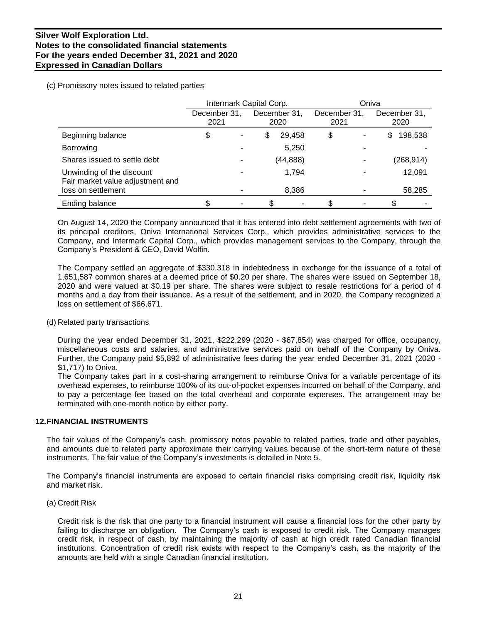# (c) Promissory notes issued to related parties

|                                                               | Intermark Capital Corp. |  |    | Oniva                |                      |  |    |                      |
|---------------------------------------------------------------|-------------------------|--|----|----------------------|----------------------|--|----|----------------------|
|                                                               | December 31,<br>2021    |  |    | December 31,<br>2020 | December 31,<br>2021 |  |    | December 31,<br>2020 |
| Beginning balance                                             | \$                      |  | \$ | 29,458               | \$                   |  | \$ | 198,538              |
| Borrowing                                                     |                         |  |    | 5,250                |                      |  |    |                      |
| Shares issued to settle debt                                  |                         |  |    | (44, 888)            |                      |  |    | (268, 914)           |
| Unwinding of the discount<br>Fair market value adjustment and |                         |  |    | 1.794                |                      |  |    | 12,091               |
| loss on settlement                                            |                         |  |    | 8,386                |                      |  |    | 58,285               |
| Ending balance                                                |                         |  |    |                      | \$                   |  |    |                      |

On August 14, 2020 the Company announced that it has entered into debt settlement agreements with two of its principal creditors, Oniva International Services Corp., which provides administrative services to the Company, and Intermark Capital Corp., which provides management services to the Company, through the Company's President & CEO, David Wolfin.

The Company settled an aggregate of \$330,318 in indebtedness in exchange for the issuance of a total of 1,651,587 common shares at a deemed price of \$0.20 per share. The shares were issued on September 18, 2020 and were valued at \$0.19 per share. The shares were subject to resale restrictions for a period of 4 months and a day from their issuance. As a result of the settlement, and in 2020, the Company recognized a loss on settlement of \$66,671.

# (d) Related party transactions

During the year ended December 31, 2021, \$222,299 (2020 - \$67,854) was charged for office, occupancy, miscellaneous costs and salaries, and administrative services paid on behalf of the Company by Oniva. Further, the Company paid \$5,892 of administrative fees during the year ended December 31, 2021 (2020 - \$1,717) to Oniva.

The Company takes part in a cost-sharing arrangement to reimburse Oniva for a variable percentage of its overhead expenses, to reimburse 100% of its out-of-pocket expenses incurred on behalf of the Company, and to pay a percentage fee based on the total overhead and corporate expenses. The arrangement may be terminated with one-month notice by either party.

# **12.FINANCIAL INSTRUMENTS**

The fair values of the Company's cash, promissory notes payable to related parties, trade and other payables, and amounts due to related party approximate their carrying values because of the short-term nature of these instruments. The fair value of the Company's investments is detailed in Note 5.

The Company's financial instruments are exposed to certain financial risks comprising credit risk, liquidity risk and market risk.

(a) Credit Risk

Credit risk is the risk that one party to a financial instrument will cause a financial loss for the other party by failing to discharge an obligation. The Company's cash is exposed to credit risk. The Company manages credit risk, in respect of cash, by maintaining the majority of cash at high credit rated Canadian financial institutions. Concentration of credit risk exists with respect to the Company's cash, as the majority of the amounts are held with a single Canadian financial institution.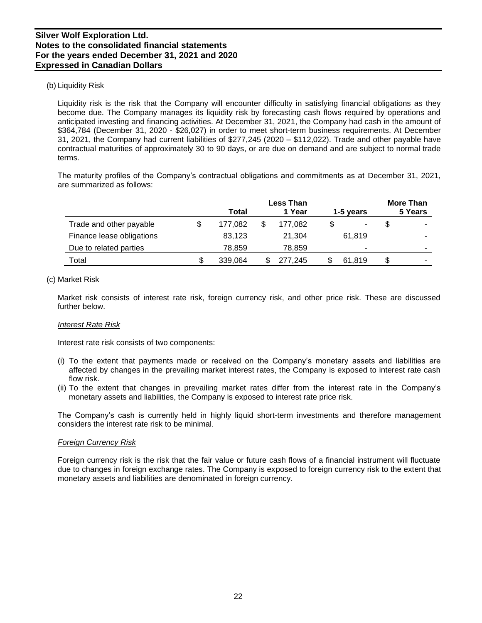# (b) Liquidity Risk

Liquidity risk is the risk that the Company will encounter difficulty in satisfying financial obligations as they become due. The Company manages its liquidity risk by forecasting cash flows required by operations and anticipated investing and financing activities. At December 31, 2021, the Company had cash in the amount of \$364,784 (December 31, 2020 - \$26,027) in order to meet short-term business requirements. At December 31, 2021, the Company had current liabilities of \$277,245 (2020 – \$112,022). Trade and other payable have contractual maturities of approximately 30 to 90 days, or are due on demand and are subject to normal trade terms.

The maturity profiles of the Company's contractual obligations and commitments as at December 31, 2021, are summarized as follows:

|                           | Total   | <b>Less Than</b><br>1 Year | 1-5 years | <b>More Than</b><br>5 Years |
|---------------------------|---------|----------------------------|-----------|-----------------------------|
| Trade and other payable   | 177.082 | 177,082                    | ۰         | ۰                           |
| Finance lease obligations | 83,123  | 21,304                     | 61.819    | -                           |
| Due to related parties    | 78.859  | 78.859                     | ۰         |                             |
| Total                     | 339.064 | 277.245                    | 61.819    |                             |

# (c) Market Risk

Market risk consists of interest rate risk, foreign currency risk, and other price risk. These are discussed further below.

# *Interest Rate Risk*

Interest rate risk consists of two components:

- (i) To the extent that payments made or received on the Company's monetary assets and liabilities are affected by changes in the prevailing market interest rates, the Company is exposed to interest rate cash flow risk.
- (ii) To the extent that changes in prevailing market rates differ from the interest rate in the Company's monetary assets and liabilities, the Company is exposed to interest rate price risk.

The Company's cash is currently held in highly liquid short-term investments and therefore management considers the interest rate risk to be minimal.

# *Foreign Currency Risk*

Foreign currency risk is the risk that the fair value or future cash flows of a financial instrument will fluctuate due to changes in foreign exchange rates. The Company is exposed to foreign currency risk to the extent that monetary assets and liabilities are denominated in foreign currency.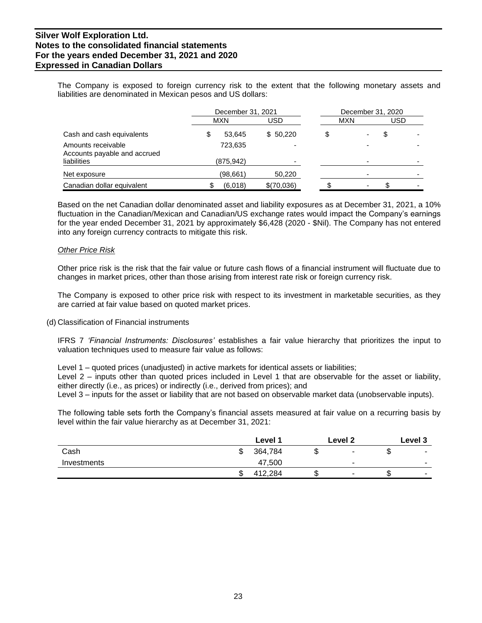The Company is exposed to foreign currency risk to the extent that the following monetary assets and liabilities are denominated in Mexican pesos and US dollars:

|                                                    | December 31, 2021 |            |                          | December 31, 2020 |     |  |  |
|----------------------------------------------------|-------------------|------------|--------------------------|-------------------|-----|--|--|
|                                                    |                   | <b>MXN</b> | USD                      | <b>MXN</b>        | USD |  |  |
| Cash and cash equivalents                          | \$                | 53,645     | \$50.220                 | \$                | \$  |  |  |
| Amounts receivable<br>Accounts payable and accrued |                   | 723,635    | $\overline{\phantom{0}}$ |                   |     |  |  |
| liabilities                                        |                   | (875, 942) | ۰                        |                   |     |  |  |
| Net exposure                                       |                   | (98, 661)  | 50,220                   |                   |     |  |  |
| Canadian dollar equivalent                         |                   | (6,018)    | \$(70,036)               |                   |     |  |  |

Based on the net Canadian dollar denominated asset and liability exposures as at December 31, 2021, a 10% fluctuation in the Canadian/Mexican and Canadian/US exchange rates would impact the Company's earnings for the year ended December 31, 2021 by approximately \$6,428 (2020 - \$Nil). The Company has not entered into any foreign currency contracts to mitigate this risk.

#### *Other Price Risk*

Other price risk is the risk that the fair value or future cash flows of a financial instrument will fluctuate due to changes in market prices, other than those arising from interest rate risk or foreign currency risk.

The Company is exposed to other price risk with respect to its investment in marketable securities, as they are carried at fair value based on quoted market prices.

(d) Classification of Financial instruments

IFRS 7 *'Financial Instruments: Disclosures'* establishes a fair value hierarchy that prioritizes the input to valuation techniques used to measure fair value as follows:

Level 1 – quoted prices (unadjusted) in active markets for identical assets or liabilities;

Level 2 – inputs other than quoted prices included in Level 1 that are observable for the asset or liability, either directly (i.e., as prices) or indirectly (i.e., derived from prices); and

Level 3 – inputs for the asset or liability that are not based on observable market data (unobservable inputs).

The following table sets forth the Company's financial assets measured at fair value on a recurring basis by level within the fair value hierarchy as at December 31, 2021:

|             |        | Level 1 |   | Level 2 |    | Level 3        |
|-------------|--------|---------|---|---------|----|----------------|
| Cash        | ጦ<br>J | 364,784 | Œ | -       | ъD | $\blacksquare$ |
| Investments |        | 47,500  |   | -       |    |                |
|             | w      | 412.284 |   |         |    |                |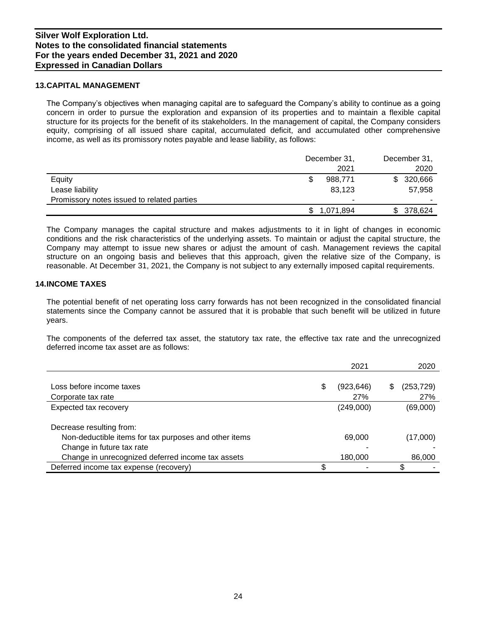# **13.CAPITAL MANAGEMENT**

The Company's objectives when managing capital are to safeguard the Company's ability to continue as a going concern in order to pursue the exploration and expansion of its properties and to maintain a flexible capital structure for its projects for the benefit of its stakeholders. In the management of capital, the Company considers equity, comprising of all issued share capital, accumulated deficit, and accumulated other comprehensive income, as well as its promissory notes payable and lease liability, as follows:

|                                            | December 31,  | December 31,  |  |  |
|--------------------------------------------|---------------|---------------|--|--|
|                                            | 2021          | 2020          |  |  |
| Equity                                     | \$<br>988,771 | 320,666       |  |  |
| Lease liability                            | 83.123        | 57,958        |  |  |
| Promissory notes issued to related parties | ۰             |               |  |  |
|                                            | 1,071,894     | 378,624<br>\$ |  |  |

The Company manages the capital structure and makes adjustments to it in light of changes in economic conditions and the risk characteristics of the underlying assets. To maintain or adjust the capital structure, the Company may attempt to issue new shares or adjust the amount of cash. Management reviews the capital structure on an ongoing basis and believes that this approach, given the relative size of the Company, is reasonable. At December 31, 2021, the Company is not subject to any externally imposed capital requirements.

# **14.INCOME TAXES**

The potential benefit of net operating loss carry forwards has not been recognized in the consolidated financial statements since the Company cannot be assured that it is probable that such benefit will be utilized in future years.

The components of the deferred tax asset, the statutory tax rate, the effective tax rate and the unrecognized deferred income tax asset are as follows:

|                                                       |    | 2021       |   | 2020      |
|-------------------------------------------------------|----|------------|---|-----------|
|                                                       |    |            |   |           |
| Loss before income taxes                              | \$ | (923, 646) | S | (253,729) |
| Corporate tax rate                                    |    | 27%        |   | 27%       |
| Expected tax recovery                                 |    | (249,000)  |   | (69,000)  |
|                                                       |    |            |   |           |
| Decrease resulting from:                              |    |            |   |           |
| Non-deductible items for tax purposes and other items |    | 69,000     |   | (17,000)  |
| Change in future tax rate                             |    |            |   |           |
| Change in unrecognized deferred income tax assets     |    | 180,000    |   | 86,000    |
| Deferred income tax expense (recovery)                | ጥ  |            |   |           |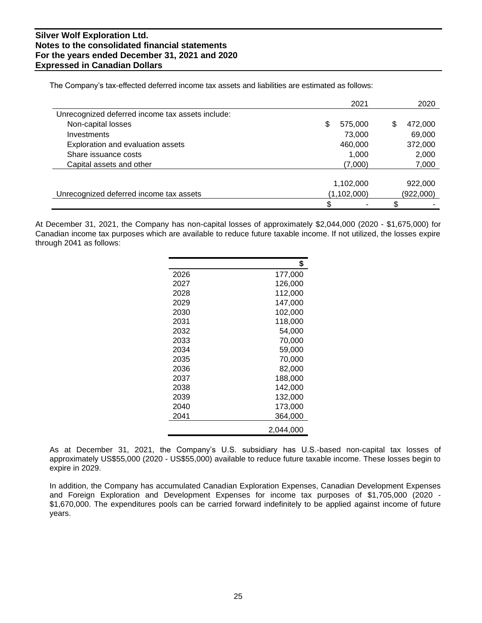The Company's tax-effected deferred income tax assets and liabilities are estimated as follows:

|                                                  | 2021         | 2020         |
|--------------------------------------------------|--------------|--------------|
| Unrecognized deferred income tax assets include: |              |              |
| Non-capital losses                               | S<br>575,000 | S<br>472,000 |
| Investments                                      | 73,000       | 69,000       |
| Exploration and evaluation assets                | 460,000      | 372,000      |
| Share issuance costs                             | 1.000        | 2,000        |
| Capital assets and other                         | (7,000)      | 7,000        |
|                                                  |              |              |
|                                                  | 1,102,000    | 922,000      |
| Unrecognized deferred income tax assets          | (1,102,000)  | (922,000)    |
|                                                  | \$           | \$           |

At December 31, 2021, the Company has non-capital losses of approximately \$2,044,000 (2020 - \$1,675,000) for Canadian income tax purposes which are available to reduce future taxable income. If not utilized, the losses expire through 2041 as follows:

|      | \$        |
|------|-----------|
| 2026 | 177,000   |
| 2027 | 126,000   |
| 2028 | 112,000   |
| 2029 | 147,000   |
| 2030 | 102,000   |
| 2031 | 118.000   |
| 2032 | 54,000    |
| 2033 | 70,000    |
| 2034 | 59,000    |
| 2035 | 70,000    |
| 2036 | 82,000    |
| 2037 | 188,000   |
| 2038 | 142,000   |
| 2039 | 132,000   |
| 2040 | 173,000   |
| 2041 | 364,000   |
|      | 2,044,000 |

As at December 31, 2021, the Company's U.S. subsidiary has U.S.-based non-capital tax losses of approximately US\$55,000 (2020 - US\$55,000) available to reduce future taxable income. These losses begin to expire in 2029.

In addition, the Company has accumulated Canadian Exploration Expenses, Canadian Development Expenses and Foreign Exploration and Development Expenses for income tax purposes of \$1,705,000 (2020 - \$1,670,000. The expenditures pools can be carried forward indefinitely to be applied against income of future years.